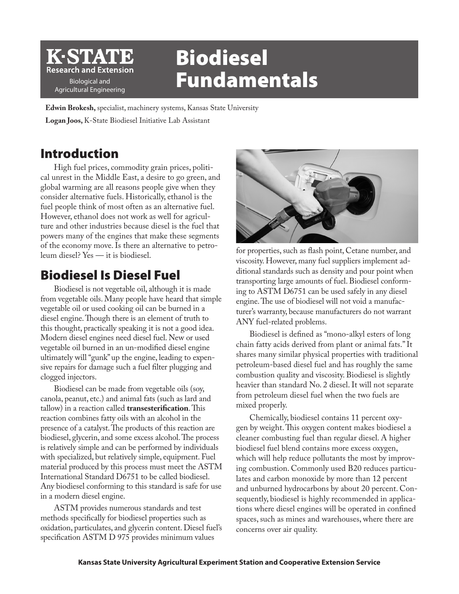

# Biodiesel Fundamentals

**Edwin Brokesh,** specialist, machinery systems, Kansas State University **Logan Joos,** K-State Biodiesel Initiative Lab Assistant

## Introduction

High fuel prices, commodity grain prices, political unrest in the Middle East, a desire to go green, and global warming are all reasons people give when they consider alternative fuels. Historically, ethanol is the fuel people think of most often as an alternative fuel. However, ethanol does not work as well for agriculture and other industries because diesel is the fuel that powers many of the engines that make these segments of the economy move. Is there an alternative to petroleum diesel? Yes — it is biodiesel.

## Biodiesel Is Diesel Fuel

Biodiesel is not vegetable oil, although it is made from vegetable oils. Many people have heard that simple vegetable oil or used cooking oil can be burned in a diesel engine. Though there is an element of truth to this thought, practically speaking it is not a good idea. Modern diesel engines need diesel fuel. New or used vegetable oil burned in an un-modified diesel engine ultimately will "gunk" up the engine, leading to expensive repairs for damage such a fuel filter plugging and clogged injectors.

Biodiesel can be made from vegetable oils (soy, canola, peanut, etc.) and animal fats (such as lard and tallow) in a reaction called **transesterification**. This reaction combines fatty oils with an alcohol in the presence of a catalyst. The products of this reaction are biodiesel, glycerin, and some excess alcohol. The process is relatively simple and can be performed by individuals with specialized, but relatively simple, equipment. Fuel material produced by this process must meet the ASTM International Standard D6751 to be called biodiesel. Any biodiesel conforming to this standard is safe for use in a modern diesel engine.

ASTM provides numerous standards and test methods specifically for biodiesel properties such as oxidation, particulates, and glycerin content. Diesel fuel's specification ASTM D 975 provides minimum values



for properties, such as flash point, Cetane number, and viscosity. However, many fuel suppliers implement additional standards such as density and pour point when transporting large amounts of fuel. Biodiesel conforming to ASTM D6751 can be used safely in any diesel engine. The use of biodiesel will not void a manufacturer's warranty, because manufacturers do not warrant ANY fuel-related problems.

Biodiesel is defined as "mono-alkyl esters of long chain fatty acids derived from plant or animal fats." It shares many similar physical properties with traditional petroleum-based diesel fuel and has roughly the same combustion quality and viscosity. Biodiesel is slightly heavier than standard No. 2 diesel. It will not separate from petroleum diesel fuel when the two fuels are mixed properly.

Chemically, biodiesel contains 11 percent oxygen by weight. This oxygen content makes biodiesel a cleaner combusting fuel than regular diesel. A higher biodiesel fuel blend contains more excess oxygen, which will help reduce pollutants the most by improving combustion. Commonly used B20 reduces particulates and carbon monoxide by more than 12 percent and unburned hydrocarbons by about 20 percent. Consequently, biodiesel is highly recommended in applications where diesel engines will be operated in confined spaces, such as mines and warehouses, where there are concerns over air quality.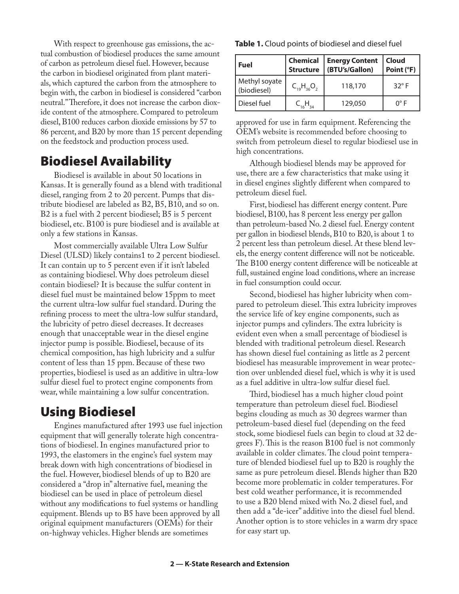With respect to greenhouse gas emissions, the actual combustion of biodiesel produces the same amount of carbon as petroleum diesel fuel. However, because the carbon in biodiesel originated from plant materials, which captured the carbon from the atmosphere to begin with, the carbon in biodiesel is considered "carbon neutral." Therefore, it does not increase the carbon dioxide content of the atmosphere. Compared to petroleum diesel, B100 reduces carbon dioxide emissions by 57 to 86 percent, and B20 by more than 15 percent depending on the feedstock and production process used.

## Biodiesel Availability

Biodiesel is available in about 50 locations in Kansas. It is generally found as a blend with traditional diesel, ranging from 2 to 20 percent. Pumps that distribute biodiesel are labeled as B2, B5, B10, and so on. B2 is a fuel with 2 percent biodiesel; B5 is 5 percent biodiesel, etc. B100 is pure biodiesel and is available at only a few stations in Kansas.

Most commercially available Ultra Low Sulfur Diesel (ULSD) likely contains1 to 2 percent biodiesel. It can contain up to 5 percent even if it isn't labeled as containing biodiesel. Why does petroleum diesel contain biodiesel? It is because the sulfur content in diesel fuel must be maintained below 15ppm to meet the current ultra-low sulfur fuel standard. During the refining process to meet the ultra-low sulfur standard, the lubricity of petro diesel decreases. It decreases enough that unacceptable wear in the diesel engine injector pump is possible. Biodiesel, because of its chemical composition, has high lubricity and a sulfur content of less than 15 ppm. Because of these two properties, biodiesel is used as an additive in ultra-low sulfur diesel fuel to protect engine components from wear, while maintaining a low sulfur concentration.

# Using Biodiesel

Engines manufactured after 1993 use fuel injection equipment that will generally tolerate high concentrations of biodiesel. In engines manufactured prior to 1993, the elastomers in the engine's fuel system may break down with high concentrations of biodiesel in the fuel. However, biodiesel blends of up to B20 are considered a "drop in" alternative fuel, meaning the biodiesel can be used in place of petroleum diesel without any modifications to fuel systems or handling equipment. Blends up to B5 have been approved by all original equipment manufacturers (OEMs) for their on-highway vehicles. Higher blends are sometimes

| Table 1. Cloud points of biodiesel and diesel fuel |  |  |  |  |  |
|----------------------------------------------------|--|--|--|--|--|
|----------------------------------------------------|--|--|--|--|--|

| <b>Fuel</b>                  | <b>Chemical</b><br><b>Structure</b> | <b>Energy Content</b><br>(BTU's/Gallon) | Cloud<br>Point (°F) |
|------------------------------|-------------------------------------|-----------------------------------------|---------------------|
| Methyl soyate<br>(biodiesel) | $C_{19}H_{36}O_{2}$                 | 118,170                                 | $32^{\circ}$ F      |
| Diesel fuel                  |                                     | 129,050                                 | በ° F                |

approved for use in farm equipment. Referencing the OEM's website is recommended before choosing to switch from petroleum diesel to regular biodiesel use in high concentrations.

Although biodiesel blends may be approved for use, there are a few characteristics that make using it in diesel engines slightly different when compared to petroleum diesel fuel.

First, biodiesel has different energy content. Pure biodiesel, B100, has 8 percent less energy per gallon than petroleum-based No. 2 diesel fuel. Energy content per gallon in biodiesel blends, B10 to B20, is about 1 to 2 percent less than petroleum diesel. At these blend levels, the energy content difference will not be noticeable. The B100 energy content difference will be noticeable at full, sustained engine load conditions, where an increase in fuel consumption could occur.

Second, biodiesel has higher lubricity when compared to petroleum diesel. This extra lubricity improves the service life of key engine components, such as injector pumps and cylinders. The extra lubricity is evident even when a small percentage of biodiesel is blended with traditional petroleum diesel. Research has shown diesel fuel containing as little as 2 percent biodiesel has measurable improvement in wear protection over unblended diesel fuel, which is why it is used as a fuel additive in ultra-low sulfur diesel fuel.

Third, biodiesel has a much higher cloud point temperature than petroleum diesel fuel. Biodiesel begins clouding as much as 30 degrees warmer than petroleum-based diesel fuel (depending on the feed stock, some biodiesel fuels can begin to cloud at 32 degrees F). This is the reason B100 fuel is not commonly available in colder climates. The cloud point temperature of blended biodiesel fuel up to B20 is roughly the same as pure petroleum diesel. Blends higher than B20 become more problematic in colder temperatures. For best cold weather performance, it is recommended to use a B20 blend mixed with No. 2 diesel fuel, and then add a "de-icer" additive into the diesel fuel blend. Another option is to store vehicles in a warm dry space for easy start up.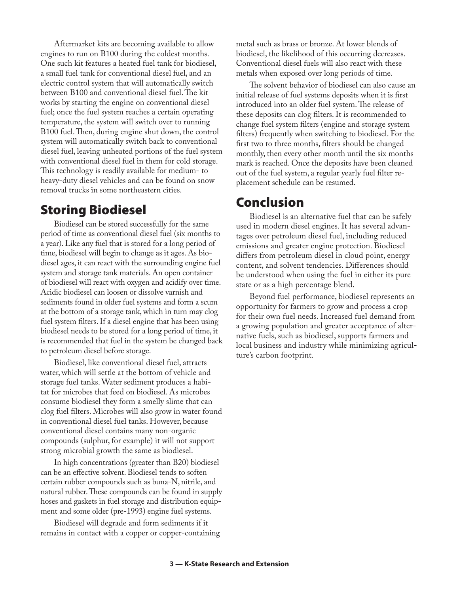Aftermarket kits are becoming available to allow engines to run on B100 during the coldest months. One such kit features a heated fuel tank for biodiesel, a small fuel tank for conventional diesel fuel, and an electric control system that will automatically switch between B100 and conventional diesel fuel. The kit works by starting the engine on conventional diesel fuel; once the fuel system reaches a certain operating temperature, the system will switch over to running B100 fuel. Then, during engine shut down, the control system will automatically switch back to conventional diesel fuel, leaving unheated portions of the fuel system with conventional diesel fuel in them for cold storage. This technology is readily available for medium- to heavy-duty diesel vehicles and can be found on snow removal trucks in some northeastern cities.

### Storing Biodiesel

Biodiesel can be stored successfully for the same period of time as conventional diesel fuel (six months to a year). Like any fuel that is stored for a long period of time, biodiesel will begin to change as it ages. As biodiesel ages, it can react with the surrounding engine fuel system and storage tank materials. An open container of biodiesel will react with oxygen and acidify over time. Acidic biodiesel can loosen or dissolve varnish and sediments found in older fuel systems and form a scum at the bottom of a storage tank, which in turn may clog fuel system filters. If a diesel engine that has been using biodiesel needs to be stored for a long period of time, it is recommended that fuel in the system be changed back to petroleum diesel before storage.

Biodiesel, like conventional diesel fuel, attracts water, which will settle at the bottom of vehicle and storage fuel tanks. Water sediment produces a habitat for microbes that feed on biodiesel. As microbes consume biodiesel they form a smelly slime that can clog fuel filters. Microbes will also grow in water found in conventional diesel fuel tanks. However, because conventional diesel contains many non-organic compounds (sulphur, for example) it will not support strong microbial growth the same as biodiesel.

In high concentrations (greater than B20) biodiesel can be an effective solvent. Biodiesel tends to soften certain rubber compounds such as buna-N, nitrile, and natural rubber. These compounds can be found in supply hoses and gaskets in fuel storage and distribution equipment and some older (pre-1993) engine fuel systems.

Biodiesel will degrade and form sediments if it remains in contact with a copper or copper-containing metal such as brass or bronze. At lower blends of biodiesel, the likelihood of this occurring decreases. Conventional diesel fuels will also react with these metals when exposed over long periods of time.

The solvent behavior of biodiesel can also cause an initial release of fuel systems deposits when it is first introduced into an older fuel system. The release of these deposits can clog filters. It is recommended to change fuel system filters (engine and storage system filters) frequently when switching to biodiesel. For the first two to three months, filters should be changed monthly, then every other month until the six months mark is reached. Once the deposits have been cleaned out of the fuel system, a regular yearly fuel filter replacement schedule can be resumed.

## Conclusion

Biodiesel is an alternative fuel that can be safely used in modern diesel engines. It has several advantages over petroleum diesel fuel, including reduced emissions and greater engine protection. Biodiesel differs from petroleum diesel in cloud point, energy content, and solvent tendencies. Differences should be understood when using the fuel in either its pure state or as a high percentage blend.

Beyond fuel performance, biodiesel represents an opportunity for farmers to grow and process a crop for their own fuel needs. Increased fuel demand from a growing population and greater acceptance of alternative fuels, such as biodiesel, supports farmers and local business and industry while minimizing agriculture's carbon footprint.